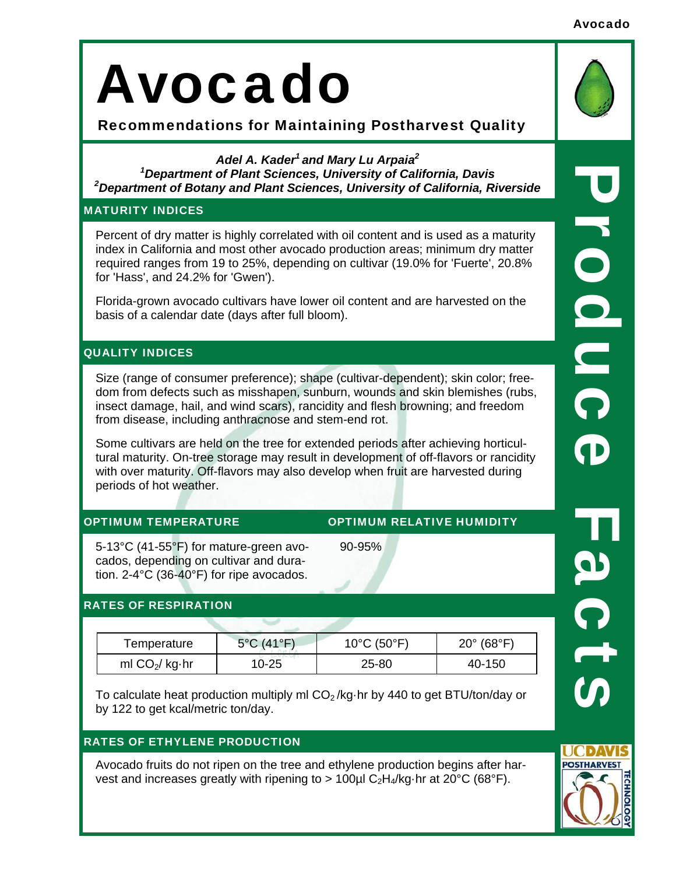Avocado

# Avocado

Recommendations for Maintaining Postharvest Quality

# *Adel A. Kader1 and Mary Lu Arpaia2*

*1 Department of Plant Sciences, University of California, Davis 2 Department of Botany and Plant Sciences, University of California, Riverside* 

## MATURITY INDICES

Percent of dry matter is highly correlated with oil content and is used as a maturity index in California and most other avocado production areas; minimum dry matter required ranges from 19 to 25%, depending on cultivar (19.0% for 'Fuerte', 20.8% for 'Hass', and 24.2% for 'Gwen').

Florida-grown avocado cultivars have lower oil content and are harvested on the basis of a calendar date (days after full bloom).

# QUALITY INDICES

Size (range of consumer preference); shape (cultivar-dependent); skin color; freedom from defects such as misshapen, sunburn, wounds and skin blemishes (rubs, insect damage, hail, and wind scars), rancidity and flesh browning; and freedom from disease, including anthracnose and stem-end rot.

Some cultivars are held on the tree for extended periods after achieving horticultural maturity. On-tree storage may result in development of off-flavors or rancidity with over maturity. Off-flavors may also develop when fruit are harvested during periods of hot weather.

90-95%

# OPTIMUM TEMPERATURE OPTIMUM RELATIVE HUMIDITY

5-13°C (41-55°F) for mature-green avocados, depending on cultivar and duration. 2-4°C (36-40°F) for ripe avocados.

# RATES OF RESPIRATION

| Temperature      | $5^{\circ}$ C (41 $^{\circ}$ F) | $10^{\circ}$ C (50 $^{\circ}$ F) | $20^{\circ}$ (68 $^{\circ}$ F) |
|------------------|---------------------------------|----------------------------------|--------------------------------|
| ml $CO2$ / kg·hr | 10-25                           | 25-80                            | 40-150                         |

To calculate heat production multiply ml  $CO<sub>2</sub>/kq$ ·hr by 440 to get BTU/ton/day or by 122 to get kcal/metric ton/day.

# RATES OF ETHYLENE PRODUCTION

Avocado fruits do not ripen on the tree and ethylene production begins after harvest and increases greatly with ripening to  $> 100 \mu$ l C<sub>2</sub>H<sub>4</sub>/kg·hr at 20<sup>o</sup>C (68<sup>o</sup>F).

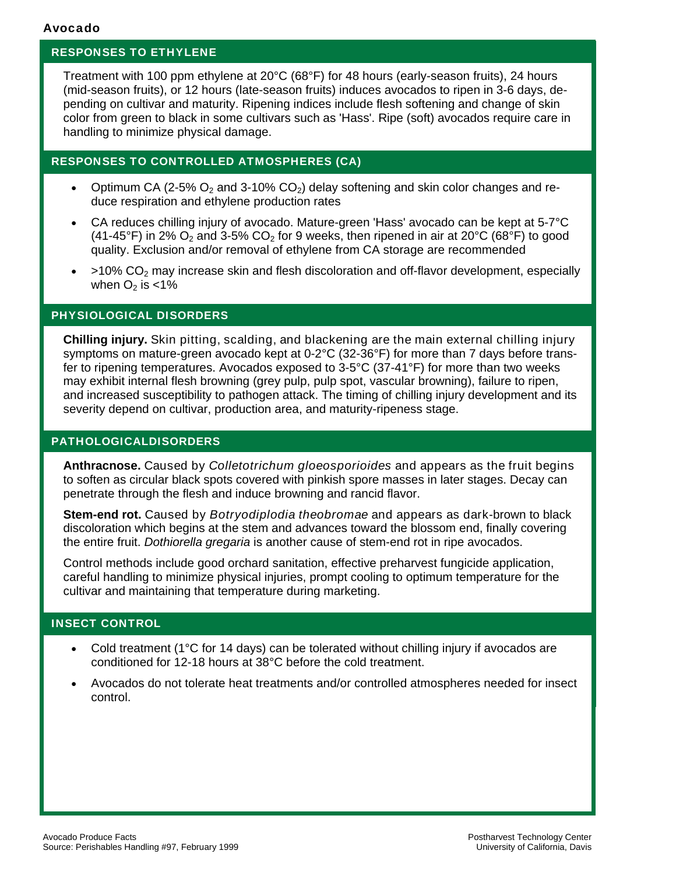### RESPONSES TO ETHYLENE

Treatment with 100 ppm ethylene at 20°C (68°F) for 48 hours (early-season fruits), 24 hours (mid-season fruits), or 12 hours (late-season fruits) induces avocados to ripen in 3-6 days, depending on cultivar and maturity. Ripening indices include flesh softening and change of skin color from green to black in some cultivars such as 'Hass'. Ripe (soft) avocados require care in handling to minimize physical damage.

#### RESPONSES TO CONTROLLED ATMOSPHERES (CA)

- Optimum CA (2-5%  $O_2$  and 3-10% CO<sub>2</sub>) delay softening and skin color changes and reduce respiration and ethylene production rates
- CA reduces chilling injury of avocado. Mature-green 'Hass' avocado can be kept at 5-7°C (41-45°F) in 2%  $O_2$  and 3-5% CO<sub>2</sub> for 9 weeks, then ripened in air at 20°C (68°F) to good quality. Exclusion and/or removal of ethylene from CA storage are recommended
- $>10\%$  CO<sub>2</sub> may increase skin and flesh discoloration and off-flavor development, especially when  $O<sub>2</sub>$  is <1%

#### PHYSIOLOGICAL DISORDERS

**Chilling injury.** Skin pitting, scalding, and blackening are the main external chilling injury symptoms on mature-green avocado kept at 0-2°C (32-36°F) for more than 7 days before transfer to ripening temperatures. Avocados exposed to 3-5°C (37-41°F) for more than two weeks may exhibit internal flesh browning (grey pulp, pulp spot, vascular browning), failure to ripen, and increased susceptibility to pathogen attack. The timing of chilling injury development and its severity depend on cultivar, production area, and maturity-ripeness stage.

#### PATHOLOGICALDISORDERS

**Anthracnose.** Caused by *Colletotrichum gloeosporioides* and appears as the fruit begins to soften as circular black spots covered with pinkish spore masses in later stages. Decay can penetrate through the flesh and induce browning and rancid flavor.

**Stem-end rot.** Caused by *Botryodiplodia theobromae* and appears as dark-brown to black discoloration which begins at the stem and advances toward the blossom end, finally covering the entire fruit. *Dothiorella gregaria* is another cause of stem-end rot in ripe avocados.

Control methods include good orchard sanitation, effective preharvest fungicide application, careful handling to minimize physical injuries, prompt cooling to optimum temperature for the cultivar and maintaining that temperature during marketing.

#### INSECT CONTROL

- Cold treatment (1°C for 14 days) can be tolerated without chilling injury if avocados are conditioned for 12-18 hours at 38°C before the cold treatment.
- Avocados do not tolerate heat treatments and/or controlled atmospheres needed for insect control.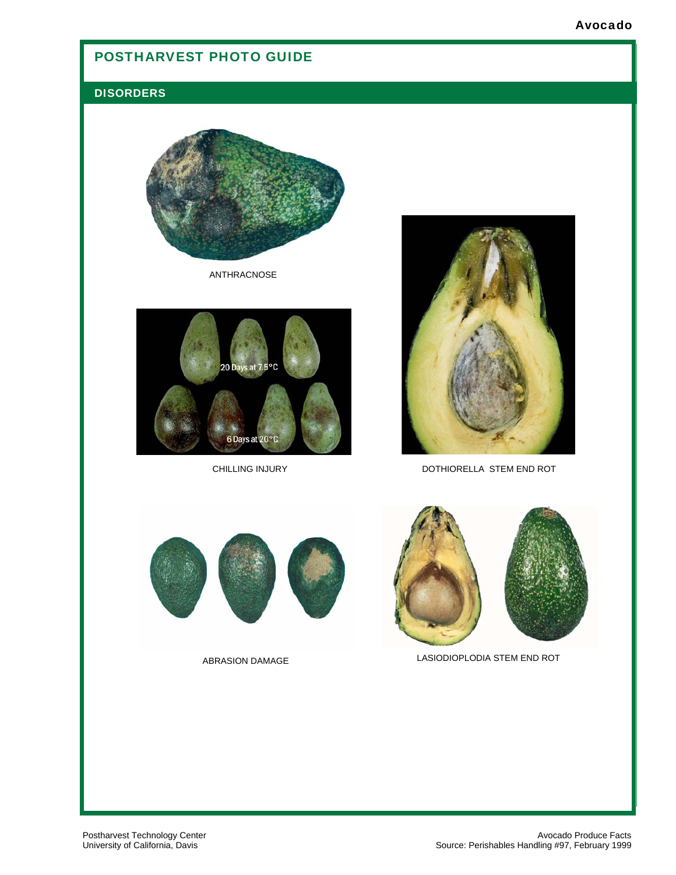# POSTHARVEST PHOTO GUIDE

### **DISORDERS**



ANTHRACNOSE



CHILLING INJURY



DOTHIORELLA STEM END ROT



ABRASION DAMAGE



LASIODIOPLODIA STEM END ROT